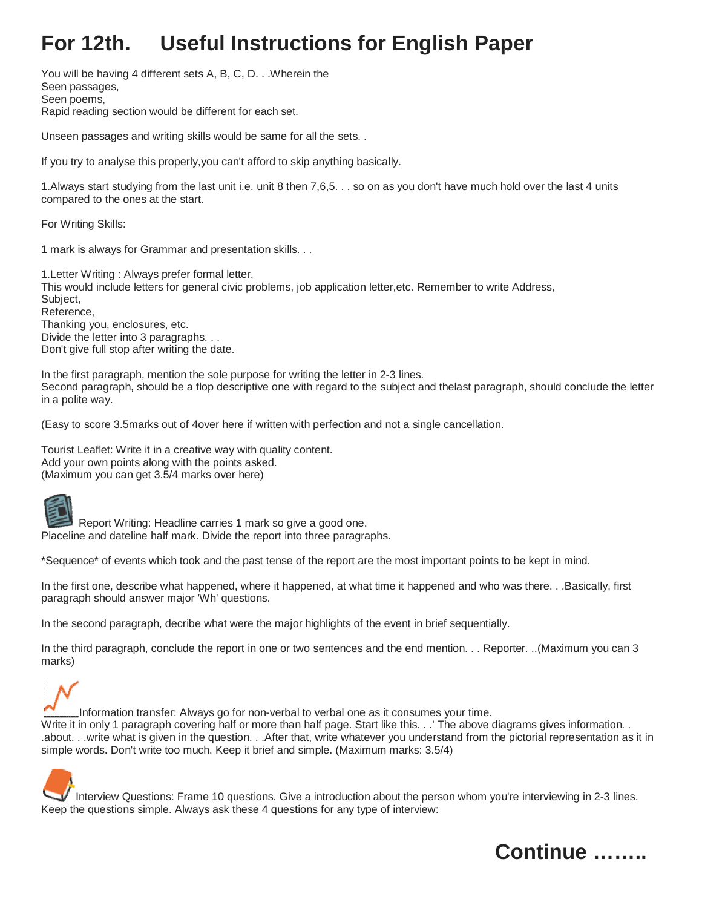## **For 12th. Useful Instructions for English Paper**

You will be having 4 different sets A, B, C, D. . .Wherein the Seen passages, Seen poems, Rapid reading section would be different for each set.

Unseen passages and writing skills would be same for all the sets. .

If you try to analyse this properly,you can't afford to skip anything basically.

1.Always start studying from the last unit i.e. unit 8 then 7,6,5. . . so on as you don't have much hold over the last 4 units compared to the ones at the start.

For Writing Skills:

1 mark is always for Grammar and presentation skills. . .

1.Letter Writing : Always prefer formal letter. This would include letters for general civic problems, job application letter,etc. Remember to write Address, Subject, Reference, Thanking you, enclosures, etc. Divide the letter into 3 paragraphs. . . Don't give full stop after writing the date.

In the first paragraph, mention the sole purpose for writing the letter in 2-3 lines. Second paragraph, should be a flop descriptive one with regard to the subject and thelast paragraph, should conclude the letter in a polite way.

(Easy to score 3.5marks out of 4over here if written with perfection and not a single cancellation.

Tourist Leaflet: Write it in a creative way with quality content. Add your own points along with the points asked. (Maximum you can get 3.5/4 marks over here)



Report Writing: Headline carries 1 mark so give a good one. Placeline and dateline half mark. Divide the report into three paragraphs.

\*Sequence\* of events which took and the past tense of the report are the most important points to be kept in mind.

In the first one, describe what happened, where it happened, at what time it happened and who was there. . .Basically, first paragraph should answer major 'Wh' questions.

In the second paragraph, decribe what were the major highlights of the event in brief sequentially.

In the third paragraph, conclude the report in one or two sentences and the end mention. . . Reporter. ..(Maximum you can 3 marks)

Information transfer: Always go for non-verbal to verbal one as it consumes your time. Write it in only 1 paragraph covering half or more than half page. Start like this. . .' The above diagrams gives information. . .about. . .write what is given in the question. . .After that, write whatever you understand from the pictorial representation as it in simple words. Don't write too much. Keep it brief and simple. (Maximum marks: 3.5/4)

Interview Questions: Frame 10 questions. Give a introduction about the person whom you're interviewing in 2-3 lines. Keep the questions simple. Always ask these 4 questions for any type of interview: